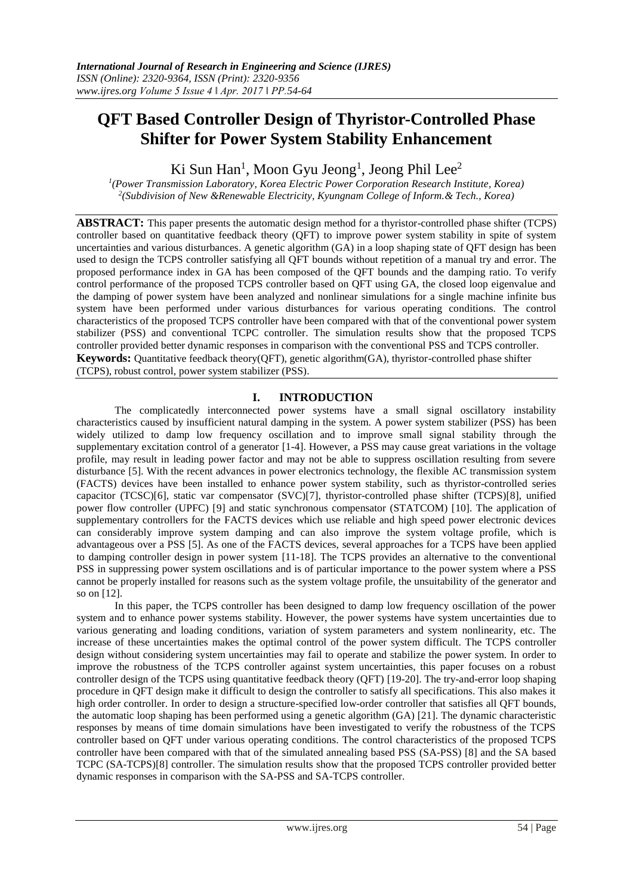# **QFT Based Controller Design of Thyristor-Controlled Phase Shifter for Power System Stability Enhancement**

Ki Sun Han<sup>1</sup>, Moon Gyu Jeong<sup>1</sup>, Jeong Phil Lee<sup>2</sup>

*1 (Power Transmission Laboratory, Korea Electric Power Corporation Research Institute, Korea) 2 (Subdivision of New &Renewable Electricity, Kyungnam College of Inform.& Tech., Korea)*

**ABSTRACT:** This paper presents the automatic design method for a thyristor-controlled phase shifter (TCPS) controller based on quantitative feedback theory (QFT) to improve power system stability in spite of system uncertainties and various disturbances. A genetic algorithm (GA) in a loop shaping state of QFT design has been used to design the TCPS controller satisfying all QFT bounds without repetition of a manual try and error. The proposed performance index in GA has been composed of the QFT bounds and the damping ratio. To verify control performance of the proposed TCPS controller based on QFT using GA, the closed loop eigenvalue and the damping of power system have been analyzed and nonlinear simulations for a single machine infinite bus system have been performed under various disturbances for various operating conditions. The control characteristics of the proposed TCPS controller have been compared with that of the conventional power system stabilizer (PSS) and conventional TCPC controller. The simulation results show that the proposed TCPS controller provided better dynamic responses in comparison with the conventional PSS and TCPS controller. **Keywords:** Quantitative feedback theory(OFT), genetic algorithm(GA), thyristor-controlled phase shifter (TCPS), robust control, power system stabilizer (PSS).

# **I. INTRODUCTION**

The complicatedly interconnected power systems have a small signal oscillatory instability characteristics caused by insufficient natural damping in the system. A power system stabilizer (PSS) has been widely utilized to damp low frequency oscillation and to improve small signal stability through the supplementary excitation control of a generator [1-4]. However, a PSS may cause great variations in the voltage profile, may result in leading power factor and may not be able to suppress oscillation resulting from severe disturbance [5]. With the recent advances in power electronics technology, the flexible AC transmission system (FACTS) devices have been installed to enhance power system stability, such as thyristor-controlled series capacitor (TCSC)[6], static var compensator (SVC)[7], thyristor-controlled phase shifter (TCPS)[8], unified power flow controller (UPFC) [9] and static synchronous compensator (STATCOM) [10]. The application of supplementary controllers for the FACTS devices which use reliable and high speed power electronic devices can considerably improve system damping and can also improve the system voltage profile, which is advantageous over a PSS [5]. As one of the FACTS devices, several approaches for a TCPS have been applied to damping controller design in power system [11-18]. The TCPS provides an alternative to the conventional PSS in suppressing power system oscillations and is of particular importance to the power system where a PSS cannot be properly installed for reasons such as the system voltage profile, the unsuitability of the generator and so on [12].

In this paper, the TCPS controller has been designed to damp low frequency oscillation of the power system and to enhance power systems stability. However, the power systems have system uncertainties due to various generating and loading conditions, variation of system parameters and system nonlinearity, etc. The increase of these uncertainties makes the optimal control of the power system difficult. The TCPS controller design without considering system uncertainties may fail to operate and stabilize the power system. In order to improve the robustness of the TCPS controller against system uncertainties, this paper focuses on a robust controller design of the TCPS using quantitative feedback theory (QFT) [19-20]. The try-and-error loop shaping procedure in QFT design make it difficult to design the controller to satisfy all specifications. This also makes it high order controller. In order to design a structure-specified low-order controller that satisfies all QFT bounds, the automatic loop shaping has been performed using a genetic algorithm (GA) [21]. The dynamic characteristic responses by means of time domain simulations have been investigated to verify the robustness of the TCPS controller based on QFT under various operating conditions. The control characteristics of the proposed TCPS controller have been compared with that of the simulated annealing based PSS (SA-PSS) [8] and the SA based TCPC (SA-TCPS)[8] controller. The simulation results show that the proposed TCPS controller provided better dynamic responses in comparison with the SA-PSS and SA-TCPS controller.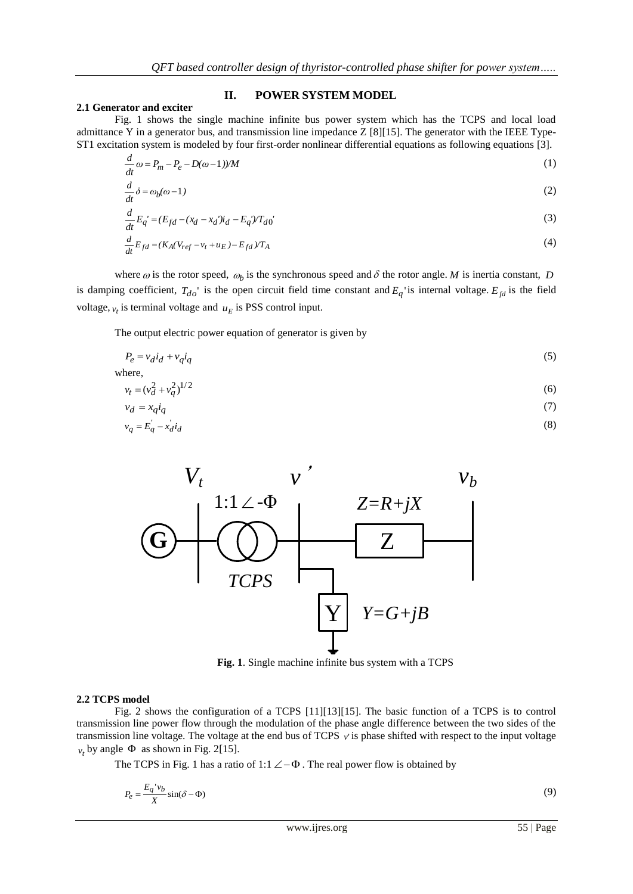## **II. POWER SYSTEM MODEL**

#### **2.1 Generator and exciter**

Fig. 1 shows the single machine infinite bus power system which has the TCPS and local load admittance Y in a generator bus, and transmission line impedance Z [8][15]. The generator with the IEEE Type-ST1 excitation system is modeled by four first-order nonlinear differential equations as following equations [3].

$$
\frac{d}{dt}\omega = P_m - P_e - D(\omega - 1)/M\tag{1}
$$

$$
\frac{d}{dt}\delta = \omega_b(\omega - 1) \tag{2}
$$

$$
\frac{d}{dt}E_q' = (E_{fd} - (x_d - x_d')i_d - E_q')T_{d0}'
$$
\n(3)

$$
\frac{d}{dt}E_{fd} = (K_A(V_{ref} - v_t + u_E) - E_{fd})/T_A
$$
\n<sup>(4)</sup>

where  $\omega$  is the rotor speed,  $\omega_b$  is the synchronous speed and  $\delta$  the rotor angle. M is inertia constant, D is damping coefficient,  $T_{do}$  is the open circuit field time constant and  $E_q$  is internal voltage.  $E_{fd}$  is the field voltage,  $v_t$  is terminal voltage and  $u_E$  is PSS control input.

The output electric power equation of generator is given by

$$
P_e = v_d i_d + v_q i_q \tag{5}
$$

where,

$$
v_t = (v_d^2 + v_q^2)^{1/2} \tag{6}
$$

$$
v_d = x_q i_q \tag{7}
$$

$$
v_q = E_q - x_d i_d \tag{8}
$$



**Fig. 1**. Single machine infinite bus system with a TCPS

#### **2.2 TCPS model**

Fig. 2 shows the configuration of a TCPS [11][13][15]. The basic function of a TCPS is to control transmission line power flow through the modulation of the phase angle difference between the two sides of the transmission line voltage. The voltage at the end bus of TCPS *v*' is phase shifted with respect to the input voltage  $v_t$  by angle  $\Phi$  as shown in Fig. 2[15].

The TCPS in Fig. 1 has a ratio of 1:1  $\angle$  -  $\Phi$ . The real power flow is obtained by

$$
P_e = \frac{E_q'v_b}{X}\sin(\delta - \Phi) \tag{9}
$$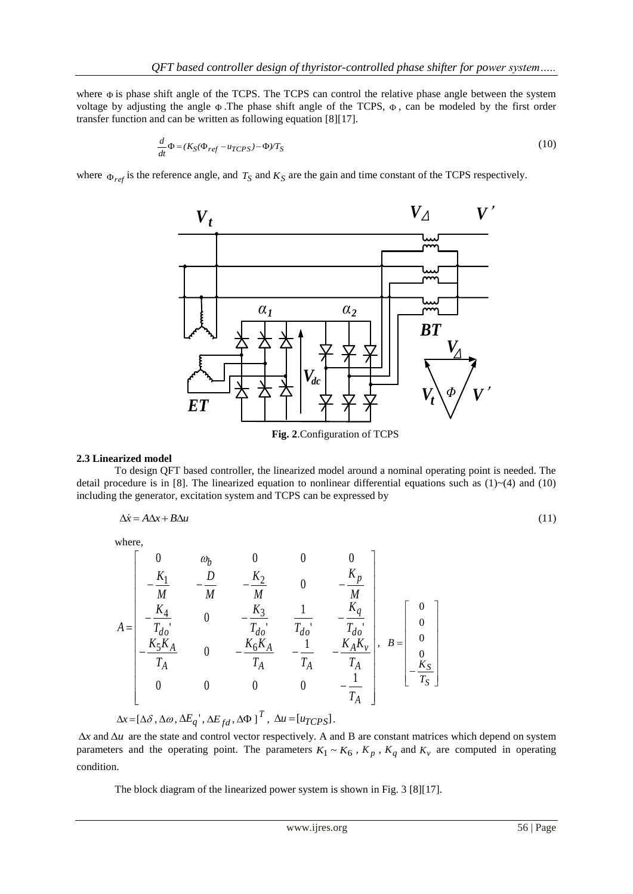where  $\Phi$  is phase shift angle of the TCPS. The TCPS can control the relative phase angle between the system voltage by adjusting the angle  $\Phi$ . The phase shift angle of the TCPS,  $\Phi$ , can be modeled by the first order transfer function and can be written as following equation [8][17].

$$
\frac{d}{dt}\Phi = (K_S(\Phi_{ref} - u_{TCPS}) - \Phi)/T_S
$$
\n(10)

where  $\Phi_{ref}$  is the reference angle, and  $T_S$  and  $K_S$  are the gain and time constant of the TCPS respectively.



**Fig. 2**.Configuration of TCPS

#### **2.3 Linearized model**

To design QFT based controller, the linearized model around a nominal operating point is needed. The detail procedure is in [8]. The linearized equation to nonlinear differential equations such as  $(1) \sim (4)$  and  $(10)$ including the generator, excitation system and TCPS can be expressed by

$$
\Delta \dot{x} = A\Delta x + B\Delta u \tag{11}
$$

where,

$$
A = \begin{bmatrix} 0 & \omega_b & 0 & 0 & 0 \\ -\frac{K_1}{M} & -\frac{D}{M} & -\frac{K_2}{M} & 0 & -\frac{K_p}{M} \\ -\frac{K_4}{T_{do}} & 0 & -\frac{K_3}{T_{do}} & \frac{1}{T_{do}} & -\frac{K_q}{T_{do}} \\ -\frac{K_5K_A}{T_A} & 0 & -\frac{K_6K_A}{T_A} & -\frac{1}{T_A} & -\frac{K_AK_v}{T_A} \\ 0 & 0 & 0 & 0 & -\frac{1}{T_A} \end{bmatrix}, \quad B = \begin{bmatrix} 0 \\ 0 \\ 0 \\ -\frac{K_S}{T_S} \end{bmatrix}
$$

 $\Delta x = [\Delta \delta, \Delta \omega, \Delta E_q], \Delta E_{fd}, \Delta \Phi]^T, \Delta u = [u_{TCPS}].$ 

 $\Delta x$  and  $\Delta u$  are the state and control vector respectively. A and B are constant matrices which depend on system parameters and the operating point. The parameters  $K_1 \sim K_6$ ,  $K_p$ ,  $K_q$  and  $K_v$  are computed in operating condition.

The block diagram of the linearized power system is shown in Fig. 3 [8][17].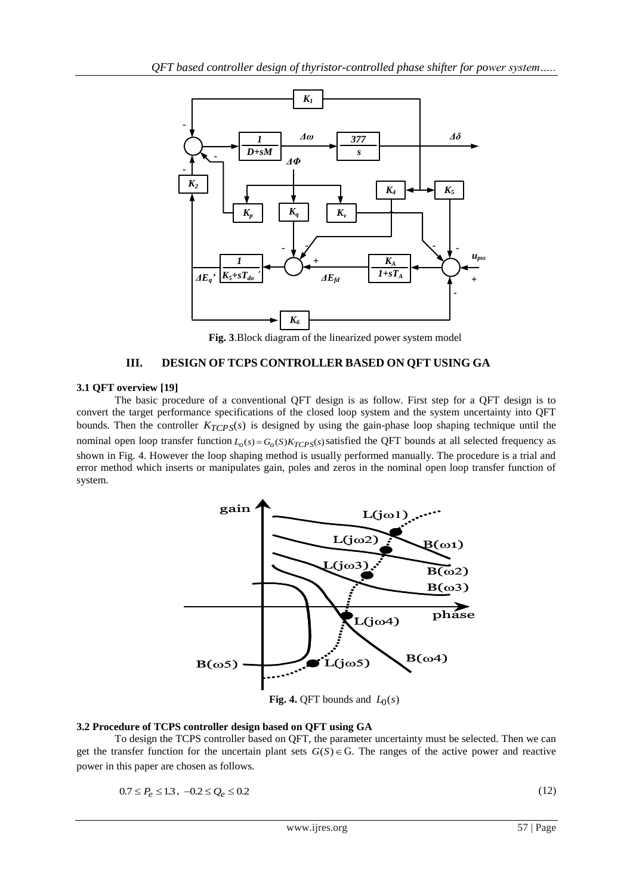

**Fig. 3**.Block diagram of the linearized power system model

# **III. DESIGN OF TCPS CONTROLLER BASED ON QFT USING GA**

## **3.1 QFT overview [19]**

The basic procedure of a conventional QFT design is as follow. First step for a QFT design is to convert the target performance specifications of the closed loop system and the system uncertainty into QFT bounds. Then the controller  $K_{TCPS}(s)$  is designed by using the gain-phase loop shaping technique until the nominal open loop transfer function  $L_o(s) = G_o(S)K_{TCPS}(s)$  satisfied the QFT bounds at all selected frequency as shown in Fig. 4. However the loop shaping method is usually performed manually. The procedure is a trial and error method which inserts or manipulates gain, poles and zeros in the nominal open loop transfer function of system.



**Fig. 4.** QFT bounds and  $L_0(s)$ 

#### **3.2 Procedure of TCPS controller design based on QFT using GA**

To design the TCPS controller based on QFT, the parameter uncertainty must be selected. Then we can get the transfer function for the uncertain plant sets  $G(S) \in G$ . The ranges of the active power and reactive power in this paper are chosen as follows.

$$
0.7 \le P_e \le 1.3\,,\ -0.2 \le Q_e \le 0.2
$$

(12)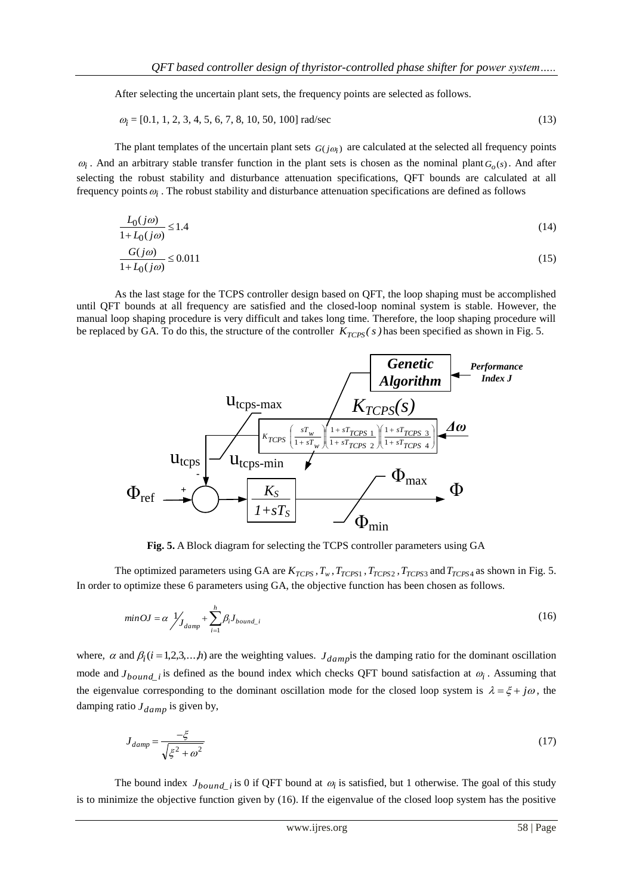After selecting the uncertain plant sets, the frequency points are selected as follows.

$$
\omega_i = [0.1, 1, 2, 3, 4, 5, 6, 7, 8, 10, 50, 100] \text{ rad/sec}
$$
\n
$$
(13)
$$

The plant templates of the uncertain plant sets  $G(j\omega_i)$  are calculated at the selected all frequency points  $\omega_i$ . And an arbitrary stable transfer function in the plant sets is chosen as the nominal plant  $G_o(s)$ . And after selecting the robust stability and disturbance attenuation specifications, QFT bounds are calculated at all frequency points  $\omega_i$ . The robust stability and disturbance attenuation specifications are defined as follows

$$
\frac{L_0(j\omega)}{1 + L_0(j\omega)} \le 1.4\tag{14}
$$

$$
\frac{G(j\omega)}{1+L_0(j\omega)} \le 0.011\tag{15}
$$

As the last stage for the TCPS controller design based on QFT, the loop shaping must be accomplished until QFT bounds at all frequency are satisfied and the closed-loop nominal system is stable. However, the manual loop shaping procedure is very difficult and takes long time. Therefore, the loop shaping procedure will be replaced by GA. To do this, the structure of the controller  $K_{TCPS}(s)$  has been specified as shown in Fig. 5.



**Fig. 5.** A Block diagram for selecting the TCPS controller parameters using GA

The optimized parameters using GA are  $K_{TCPS}$ ,  $T_w$ ,  $T_{TCPS1}$ ,  $T_{TCPS2}$ ,  $T_{TCPS3}$  and  $T_{TCPS4}$  as shown in Fig. 5. In order to optimize these 6 parameters using GA, the objective function has been chosen as follows.

$$
min \, OJ = \alpha \int_{J_{damp}} + \sum_{i=1}^{h} \beta_i J_{bound\_i} \tag{16}
$$

where,  $\alpha$  and  $\beta_i$  (*i* = 1,2,3,...*h*) are the weighting values.  $J_{damp}$  is the damping ratio for the dominant oscillation mode and  $J_{bound_i}$  is defined as the bound index which checks QFT bound satisfaction at  $\omega_i$ . Assuming that the eigenvalue corresponding to the dominant oscillation mode for the closed loop system is  $\lambda = \xi + j\omega$ , the damping ratio  $J_{damp}$  is given by,

$$
J_{damp} = \frac{-\xi}{\sqrt{\xi^2 + \omega^2}}\tag{17}
$$

The bound index  $J_{bound_i}$  is 0 if QFT bound at  $\omega_i$  is satisfied, but 1 otherwise. The goal of this study is to minimize the objective function given by (16). If the eigenvalue of the closed loop system has the positive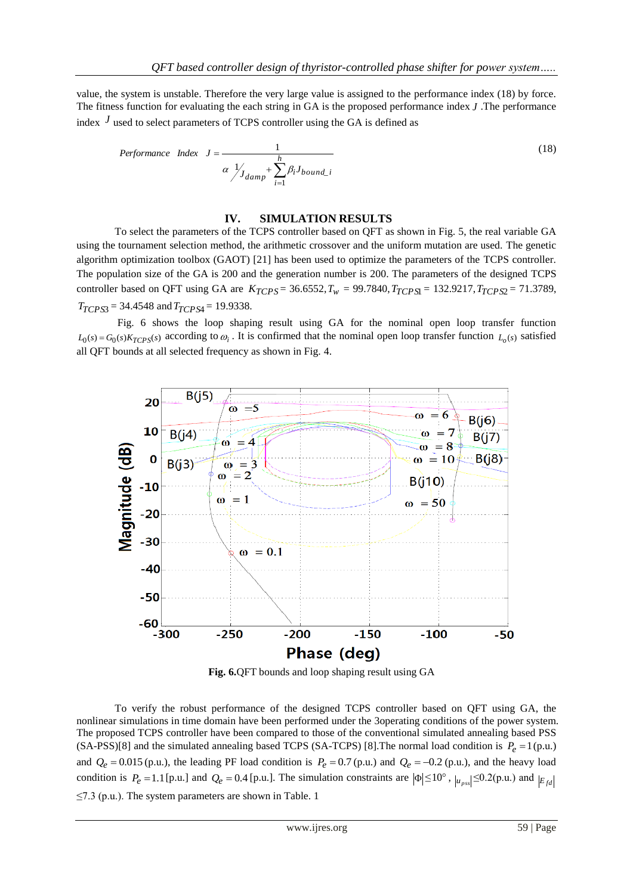value, the system is unstable. Therefore the very large value is assigned to the performance index (18) by force. The fitness function for evaluating the each string in GA is the proposed performance index *J* .The performance index  $J$  used to select parameters of TCPS controller using the GA is defined as

$$
Performance Index J = \frac{1}{\alpha \frac{1}{\frac{1}{J_{damp}} + \sum_{i=1}^{h} \beta_i J_{bound\_i}}}
$$
\n(18)

#### **IV. SIMULATION RESULTS**

To select the parameters of the TCPS controller based on QFT as shown in Fig. 5, the real variable GA using the tournament selection method, the arithmetic crossover and the uniform mutation are used. The genetic algorithm optimization toolbox (GAOT) [21] has been used to optimize the parameters of the TCPS controller. The population size of the GA is 200 and the generation number is 200. The parameters of the designed TCPS controller based on QFT using GA are  $K_{TCPS} = 36.6552$ ,  $T_w = 99.7840$ ,  $T_{TCPS} = 132.9217$ ,  $T_{TCPS2} = 71.3789$ , *TTCPS*<sup>3</sup> = 34.4548 and *TTCPS*<sup>4</sup> = 19.9338.

Fig. 6 shows the loop shaping result using GA for the nominal open loop transfer function  $L_0(s) = G_0(s)K_{TCPS}(s)$  according to  $\omega_i$ . It is confirmed that the nominal open loop transfer function  $L_o(s)$  satisfied all QFT bounds at all selected frequency as shown in Fig. 4.



**Fig. 6.**QFT bounds and loop shaping result using GA

To verify the robust performance of the designed TCPS controller based on QFT using GA, the nonlinear simulations in time domain have been performed under the 3operating conditions of the power system. The proposed TCPS controller have been compared to those of the conventional simulated annealing based PSS  $(SA-PSS)[8]$  and the simulated annealing based TCPS  $(SA-TCPS)$  [8]. The normal load condition is  $P_e = 1$  (p.u.) and  $Q_e = 0.015$  (p.u.), the leading PF load condition is  $P_e = 0.7$  (p.u.) and  $Q_e = -0.2$  (p.u.), and the heavy load condition is  $P_e = 1.1$  [p.u.] and  $Q_e = 0.4$  [p.u.]. The simulation constraints are  $|\Phi| \le 10^\circ$ ,  $|u_{pss}| \le 0.2$  (p.u.) and  $|E_{fd}|$  $\leq$ 7.3 (p.u.). The system parameters are shown in Table. 1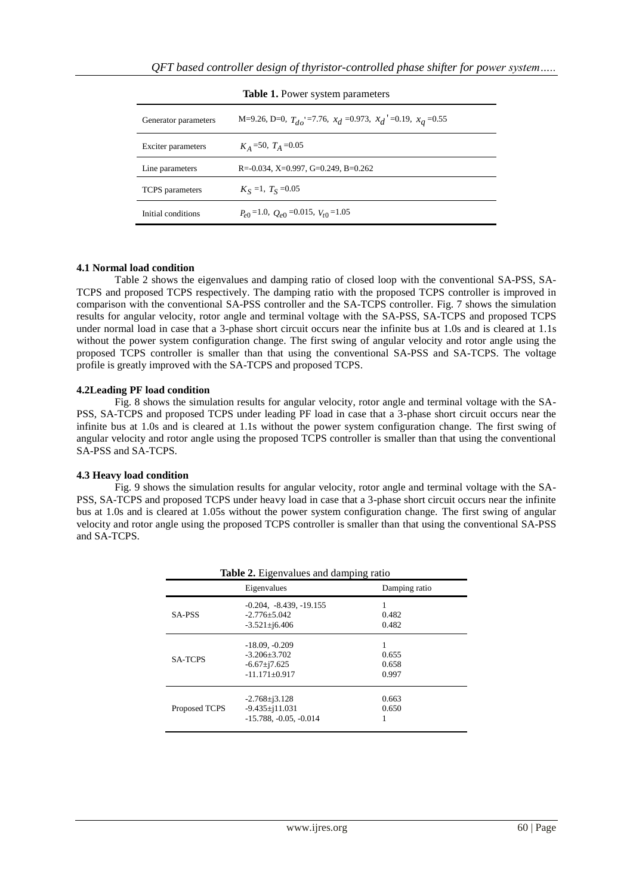| <b>rabic 1.</b> I ower system parameters |                                                                     |  |
|------------------------------------------|---------------------------------------------------------------------|--|
| Generator parameters                     | M=9.26, D=0, $T_{d0}$ =7.76, $x_d$ =0.973, $x_d$ =0.19, $x_a$ =0.55 |  |
| Exciter parameters                       | $K_A$ =50, $T_A$ =0.05                                              |  |
| Line parameters                          | R= $-0.034$ , X= $0.997$ , G= $0.249$ , B= $0.262$                  |  |
| <b>TCPS</b> parameters                   | $K_S = 1$ , $T_S = 0.05$                                            |  |
| Initial conditions                       | $P_{e0}$ =1.0, $Q_{e0}$ =0.015, $V_{t0}$ =1.05                      |  |

**Table 1.** Power system parameters

#### **4.1 Normal load condition**

Table 2 shows the eigenvalues and damping ratio of closed loop with the conventional SA-PSS, SA-TCPS and proposed TCPS respectively. The damping ratio with the proposed TCPS controller is improved in comparison with the conventional SA-PSS controller and the SA-TCPS controller. Fig. 7 shows the simulation results for angular velocity, rotor angle and terminal voltage with the SA-PSS, SA-TCPS and proposed TCPS under normal load in case that a 3-phase short circuit occurs near the infinite bus at 1.0s and is cleared at 1.1s without the power system configuration change. The first swing of angular velocity and rotor angle using the proposed TCPS controller is smaller than that using the conventional SA-PSS and SA-TCPS. The voltage profile is greatly improved with the SA-TCPS and proposed TCPS.

#### **4.2Leading PF load condition**

Fig. 8 shows the simulation results for angular velocity, rotor angle and terminal voltage with the SA-PSS, SA-TCPS and proposed TCPS under leading PF load in case that a 3-phase short circuit occurs near the infinite bus at 1.0s and is cleared at 1.1s without the power system configuration change. The first swing of angular velocity and rotor angle using the proposed TCPS controller is smaller than that using the conventional SA-PSS and SA-TCPS.

## **4.3 Heavy load condition**

Fig. 9 shows the simulation results for angular velocity, rotor angle and terminal voltage with the SA-PSS, SA-TCPS and proposed TCPS under heavy load in case that a 3-phase short circuit occurs near the infinite bus at 1.0s and is cleared at 1.05s without the power system configuration change. The first swing of angular velocity and rotor angle using the proposed TCPS controller is smaller than that using the conventional SA-PSS and SA-TCPS.

|                | Eigenvalues                                                                      | Damping ratio           |
|----------------|----------------------------------------------------------------------------------|-------------------------|
| SA-PSS         | $-0.204, -8.439, -19.155$<br>$-2.776 + 5.042$<br>$-3.521 \pm 6.406$              | 0.482<br>0.482          |
| <b>SA-TCPS</b> | $-18.09, -0.209$<br>$-3.206 + 3.702$<br>$-6.67 \pm 7.625$<br>$-11.171 \pm 0.917$ | 0.655<br>0.658<br>0.997 |
| Proposed TCPS  | $-2.768 \pm i 3.128$<br>$-9.435\pm11.031$<br>$-15.788, -0.05, -0.014$            | 0.663<br>0.650          |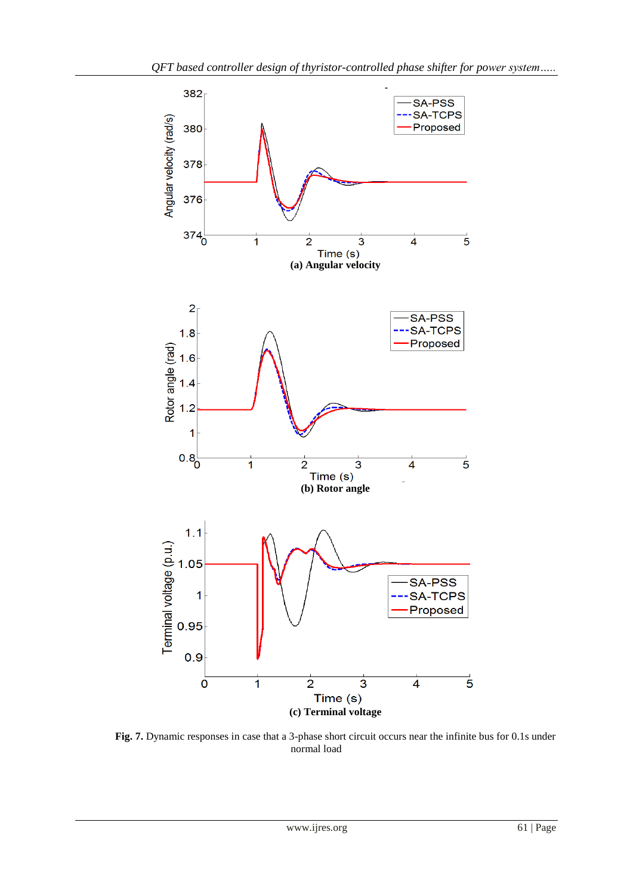

**Fig. 7.** Dynamic responses in case that a 3-phase short circuit occurs near the infinite bus for 0.1s under normal load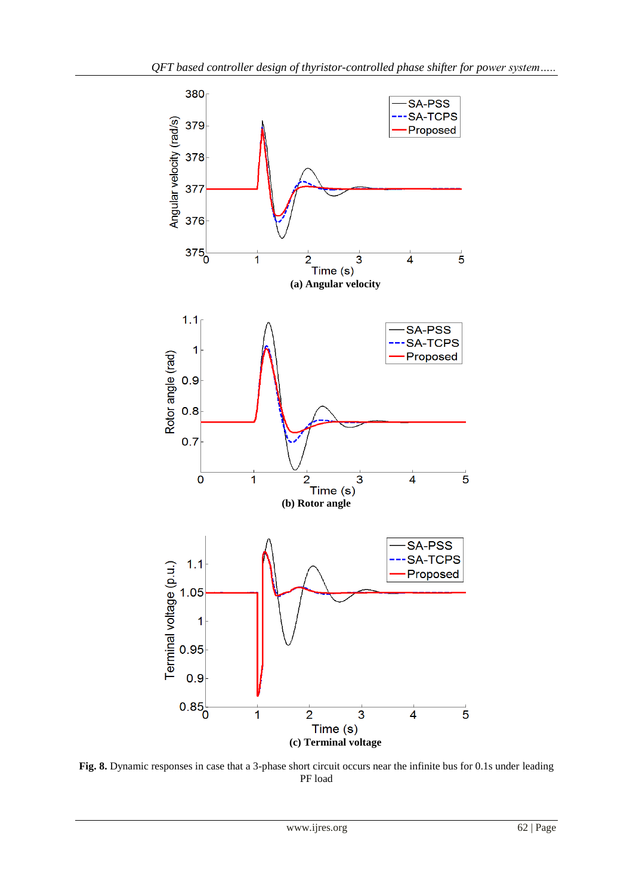

**Fig. 8.** Dynamic responses in case that a 3-phase short circuit occurs near the infinite bus for 0.1s under leading PF load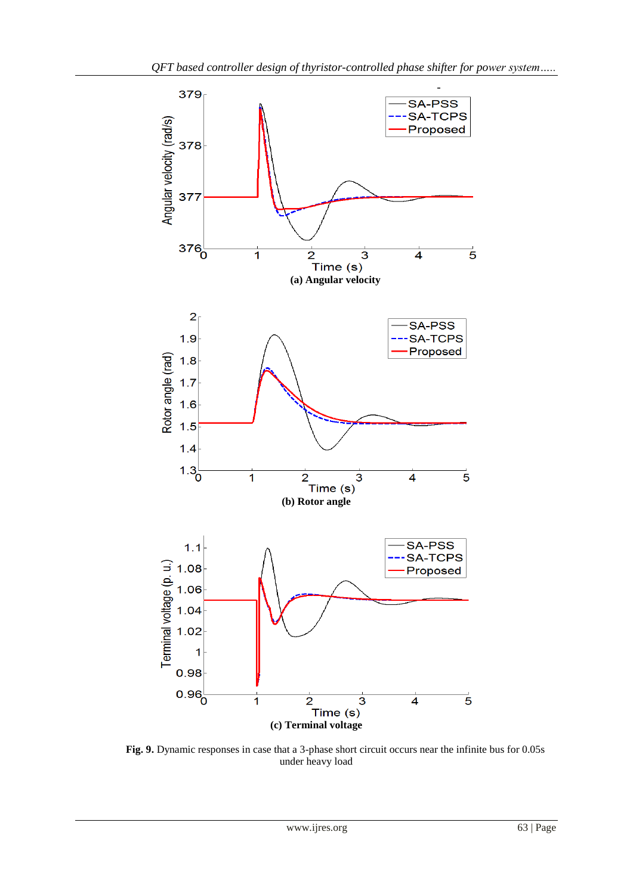

**Fig. 9.** Dynamic responses in case that a 3-phase short circuit occurs near the infinite bus for 0.05s under heavy load